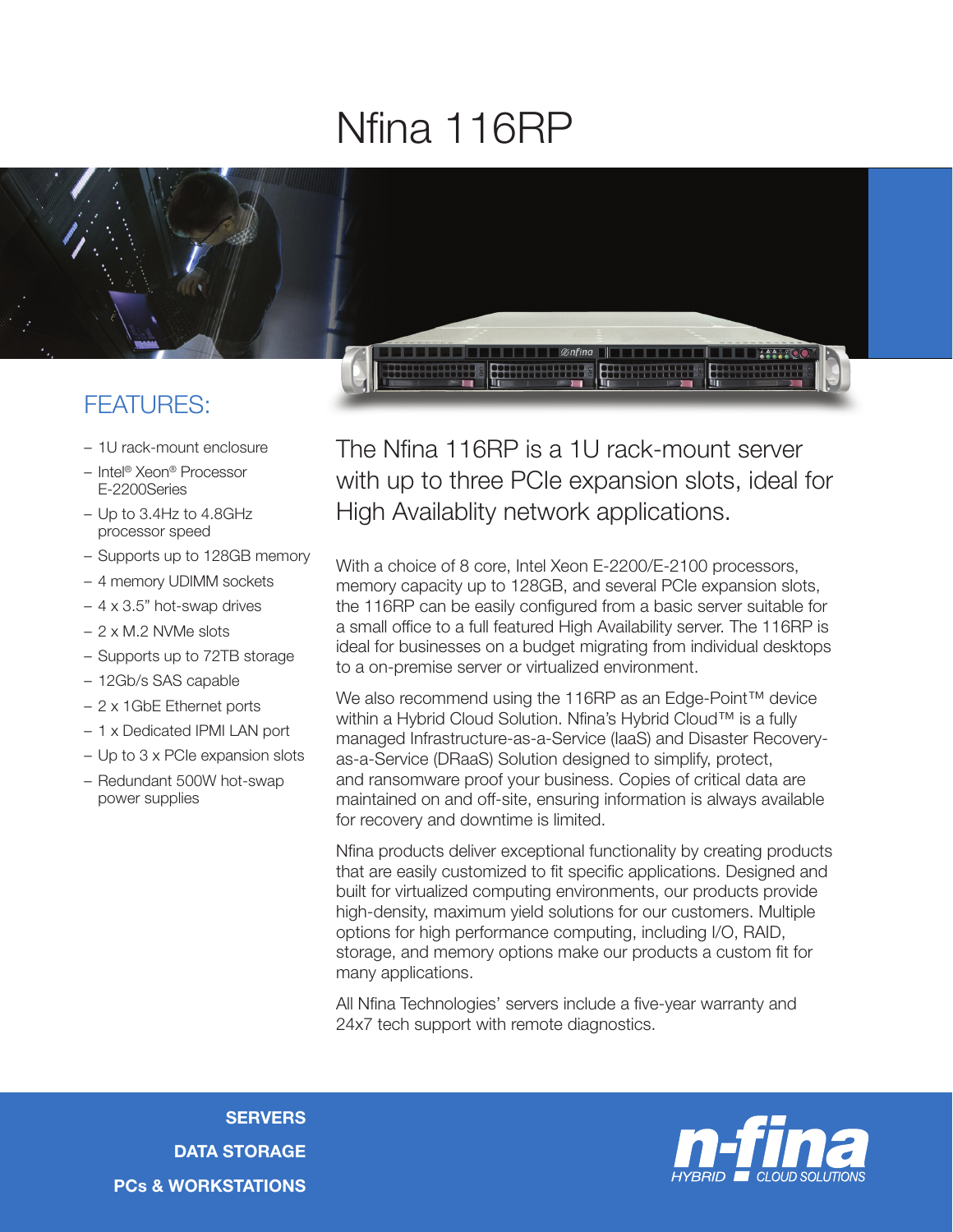## Nfina 116RP



## FEATURES:

- 1U rack-mount enclosure
- Intel® Xeon® Processor E-2200Series
- Up to 3.4Hz to 4.8GHz processor speed
- Supports up to 128GB memory
- 4 memory UDIMM sockets
- 4 x 3.5" hot-swap drives
- 2 x M.2 NVMe slots
- Supports up to 72TB storage
- 12Gb/s SAS capable
- 2 x 1GbE Ethernet ports
- 1 x Dedicated IPMI LAN port
- Up to 3 x PCIe expansion slots
- Redundant 500W hot-swap power supplies

The Nfina 116RP is a 1U rack-mount server with up to three PCIe expansion slots, ideal for High Availablity network applications.

With a choice of 8 core, Intel Xeon E-2200/E-2100 processors, memory capacity up to 128GB, and several PCIe expansion slots, the 116RP can be easily configured from a basic server suitable for a small office to a full featured High Availability server. The 116RP is ideal for businesses on a budget migrating from individual desktops to a on-premise server or virtualized environment.

We also recommend using the 116RP as an Edge-Point™ device within a Hybrid Cloud Solution. Nfina's Hybrid Cloud™ is a fully managed Infrastructure-as-a-Service (IaaS) and Disaster Recoveryas-a-Service (DRaaS) Solution designed to simplify, protect, and ransomware proof your business. Copies of critical data are maintained on and off-site, ensuring information is always available for recovery and downtime is limited.

Nfina products deliver exceptional functionality by creating products that are easily customized to fit specific applications. Designed and built for virtualized computing environments, our products provide high-density, maximum yield solutions for our customers. Multiple options for high performance computing, including I/O, RAID, storage, and memory options make our products a custom fit for many applications.

All Nfina Technologies' servers include a five-year warranty and 24x7 tech support with remote diagnostics.

**SERVERS** DATA STORAGE PCs & WORKSTATIONS

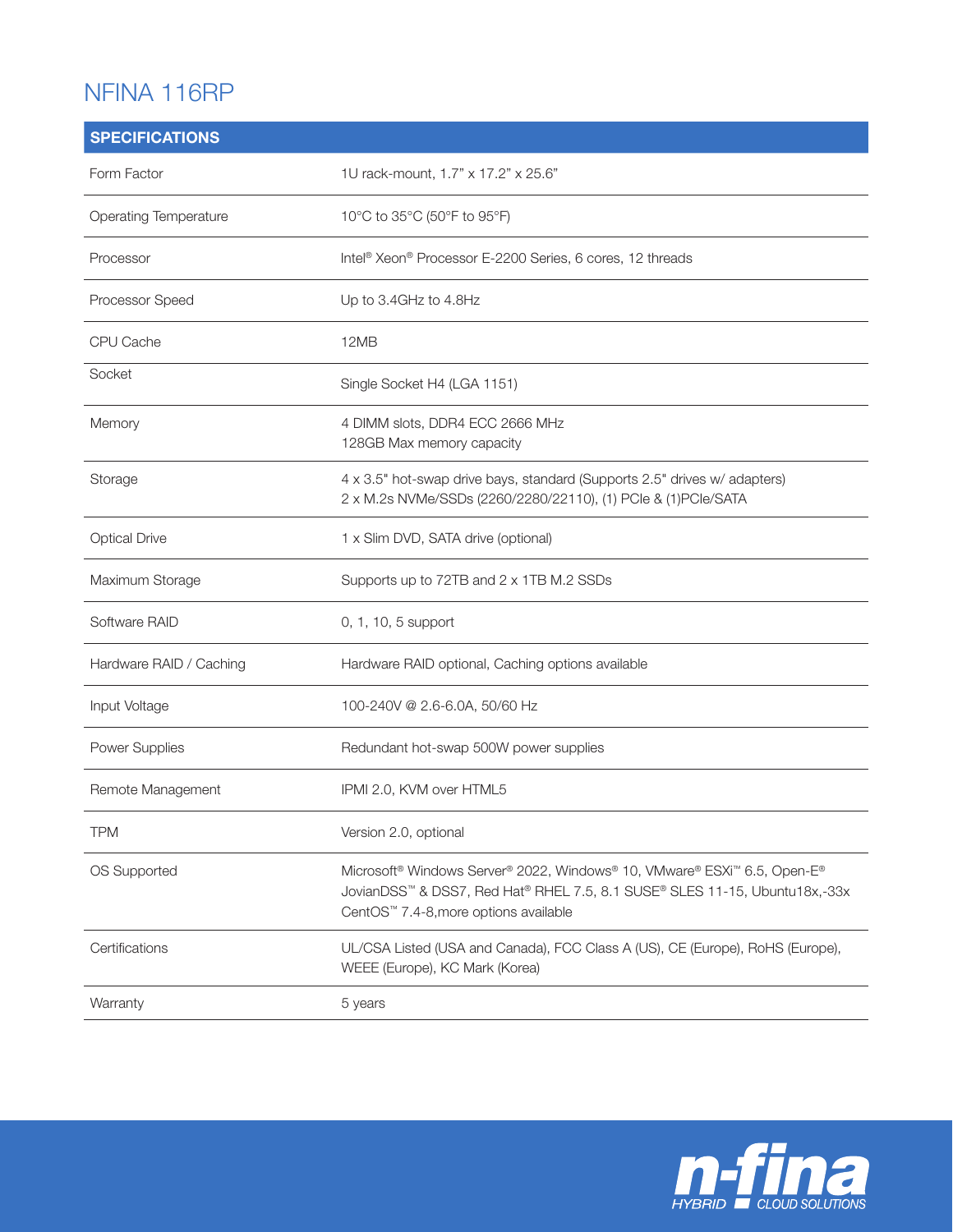## NFINA 116RP

| <b>SPECIFICATIONS</b>   |                                                                                                                                                                                                                         |
|-------------------------|-------------------------------------------------------------------------------------------------------------------------------------------------------------------------------------------------------------------------|
| Form Factor             | 1U rack-mount, 1.7" x 17.2" x 25.6"                                                                                                                                                                                     |
| Operating Temperature   | 10°C to 35°C (50°F to 95°F)                                                                                                                                                                                             |
| Processor               | Intel <sup>®</sup> Xeon® Processor E-2200 Series, 6 cores, 12 threads                                                                                                                                                   |
| Processor Speed         | Up to 3.4GHz to 4.8Hz                                                                                                                                                                                                   |
| CPU Cache               | 12MB                                                                                                                                                                                                                    |
| Socket                  | Single Socket H4 (LGA 1151)                                                                                                                                                                                             |
| Memory                  | 4 DIMM slots, DDR4 ECC 2666 MHz<br>128GB Max memory capacity                                                                                                                                                            |
| Storage                 | 4 x 3.5" hot-swap drive bays, standard (Supports 2.5" drives w/ adapters)<br>2 x M.2s NVMe/SSDs (2260/2280/22110), (1) PCle & (1)PCle/SATA                                                                              |
| <b>Optical Drive</b>    | 1 x Slim DVD, SATA drive (optional)                                                                                                                                                                                     |
| Maximum Storage         | Supports up to 72TB and 2 x 1TB M.2 SSDs                                                                                                                                                                                |
| Software RAID           | 0, 1, 10, 5 support                                                                                                                                                                                                     |
| Hardware RAID / Caching | Hardware RAID optional, Caching options available                                                                                                                                                                       |
| Input Voltage           | 100-240V @ 2.6-6.0A, 50/60 Hz                                                                                                                                                                                           |
| Power Supplies          | Redundant hot-swap 500W power supplies                                                                                                                                                                                  |
| Remote Management       | IPMI 2.0, KVM over HTML5                                                                                                                                                                                                |
| <b>TPM</b>              | Version 2.0, optional                                                                                                                                                                                                   |
| OS Supported            | Microsoft <sup>®</sup> Windows Server® 2022, Windows® 10, VMware® ESXi <sup>™</sup> 6.5, Open-E®<br>JovianDSS™ & DSS7, Red Hat® RHEL 7.5, 8.1 SUSE® SLES 11-15, Ubuntu18x,-33x<br>CentOS™ 7.4-8, more options available |
| Certifications          | UL/CSA Listed (USA and Canada), FCC Class A (US), CE (Europe), RoHS (Europe),<br>WEEE (Europe), KC Mark (Korea)                                                                                                         |
| Warranty                | 5 years                                                                                                                                                                                                                 |